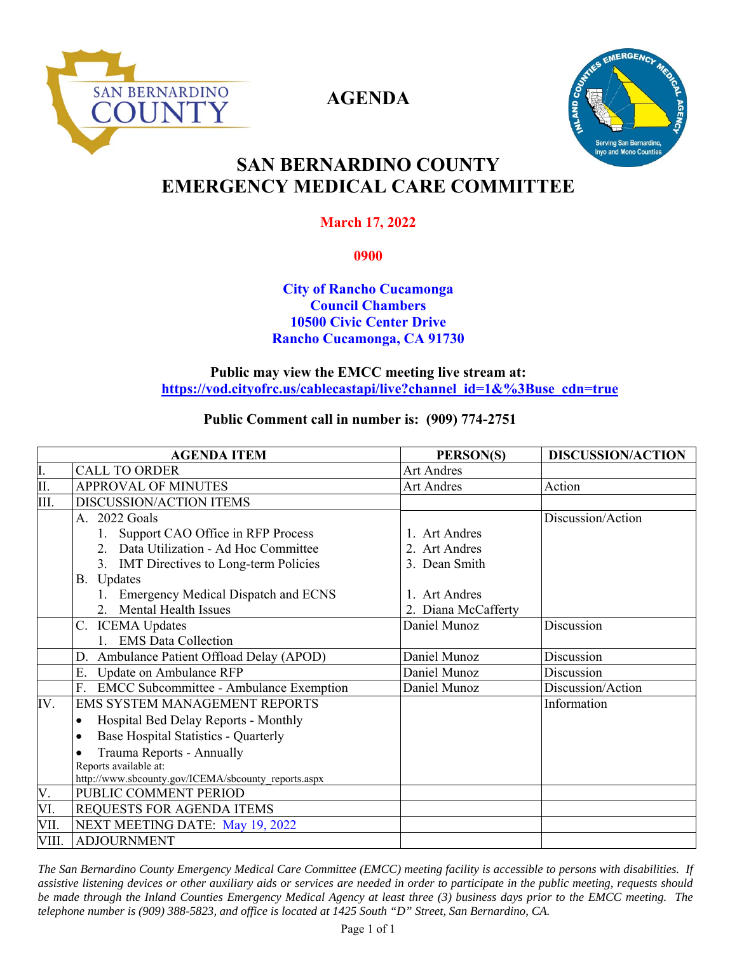

**AGENDA** 



# **SAN BERNARDINO COUNTY EMERGENCY MEDICAL CARE COMMITTEE**

# **March 17, 2022**

**0900** 

## **City of Rancho Cucamonga Council Chambers 10500 Civic Center Drive Rancho Cucamonga, CA 91730**

### **Public may view the EMCC meeting live stream at: https://vod.cityofrc.us/cablecastapi/live?channel\_id=1&%3Buse\_cdn=true**

# **Public Comment call in number is: (909) 774-2751**

| <b>AGENDA ITEM</b> |                                                      | PERSON(S)           | <b>DISCUSSION/ACTION</b> |
|--------------------|------------------------------------------------------|---------------------|--------------------------|
| I.                 | <b>CALL TO ORDER</b>                                 | <b>Art Andres</b>   |                          |
| Π.                 | <b>APPROVAL OF MINUTES</b>                           | <b>Art Andres</b>   | Action                   |
| Ш.                 | DISCUSSION/ACTION ITEMS                              |                     |                          |
|                    | A. 2022 Goals                                        |                     | Discussion/Action        |
|                    | 1. Support CAO Office in RFP Process                 | 1. Art Andres       |                          |
|                    | 2. Data Utilization - Ad Hoc Committee               | 2. Art Andres       |                          |
|                    | 3. IMT Directives to Long-term Policies              | 3. Dean Smith       |                          |
|                    | B. Updates                                           |                     |                          |
|                    | 1. Emergency Medical Dispatch and ECNS               | 1. Art Andres       |                          |
|                    | 2. Mental Health Issues                              | 2. Diana McCafferty |                          |
|                    | C. ICEMA Updates                                     | Daniel Munoz        | Discussion               |
|                    | 1. EMS Data Collection                               |                     |                          |
|                    | D. Ambulance Patient Offload Delay (APOD)            | Daniel Munoz        | Discussion               |
|                    | Update on Ambulance RFP<br>E.                        | Daniel Munoz        | Discussion               |
|                    | <b>EMCC Subcommittee - Ambulance Exemption</b><br>F. | Daniel Munoz        | Discussion/Action        |
| IV.                | <b>EMS SYSTEM MANAGEMENT REPORTS</b>                 |                     | Information              |
|                    | Hospital Bed Delay Reports - Monthly<br>$\bullet$    |                     |                          |
|                    | Base Hospital Statistics - Quarterly                 |                     |                          |
|                    | Trauma Reports - Annually                            |                     |                          |
|                    | Reports available at:                                |                     |                          |
|                    | http://www.sbcounty.gov/ICEMA/sbcounty reports.aspx  |                     |                          |
| V.                 | PUBLIC COMMENT PERIOD                                |                     |                          |
| VI.                | REQUESTS FOR AGENDA ITEMS                            |                     |                          |
| VII.               | NEXT MEETING DATE: May 19, 2022                      |                     |                          |
| VIII.              | <b>ADJOURNMENT</b>                                   |                     |                          |

*The San Bernardino County Emergency Medical Care Committee (EMCC) meeting facility is accessible to persons with disabilities. If assistive listening devices or other auxiliary aids or services are needed in order to participate in the public meeting, requests should be made through the Inland Counties Emergency Medical Agency at least three (3) business days prior to the EMCC meeting. The telephone number is (909) 388-5823, and office is located at 1425 South "D" Street, San Bernardino, CA.*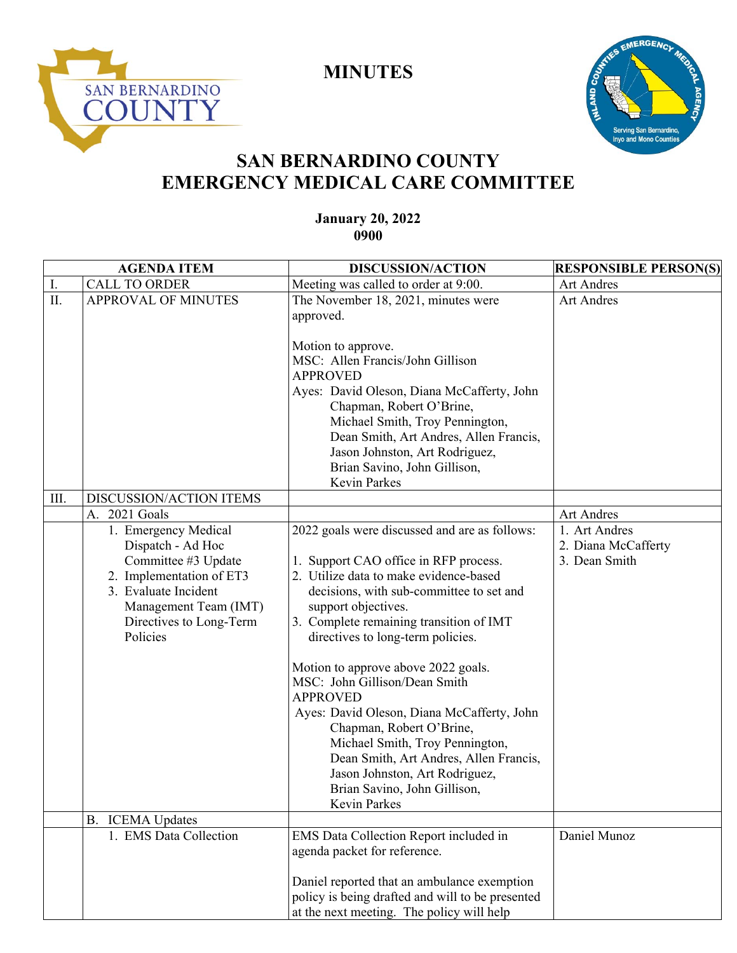

**MINUTES** 



# **SAN BERNARDINO COUNTY EMERGENCY MEDICAL CARE COMMITTEE**

## **January 20, 2022 0900**

| <b>AGENDA ITEM</b> |                                                                                                                                                                                      | <b>DISCUSSION/ACTION</b>                                                                                                                                                                                                                                                                                                                                                                                                                                                                                                                                                                                                | <b>RESPONSIBLE PERSON(S)</b>                          |
|--------------------|--------------------------------------------------------------------------------------------------------------------------------------------------------------------------------------|-------------------------------------------------------------------------------------------------------------------------------------------------------------------------------------------------------------------------------------------------------------------------------------------------------------------------------------------------------------------------------------------------------------------------------------------------------------------------------------------------------------------------------------------------------------------------------------------------------------------------|-------------------------------------------------------|
| I.                 | <b>CALL TO ORDER</b>                                                                                                                                                                 | Meeting was called to order at 9:00.                                                                                                                                                                                                                                                                                                                                                                                                                                                                                                                                                                                    | <b>Art Andres</b>                                     |
| II.                | <b>APPROVAL OF MINUTES</b>                                                                                                                                                           | The November 18, 2021, minutes were<br>approved.                                                                                                                                                                                                                                                                                                                                                                                                                                                                                                                                                                        | <b>Art Andres</b>                                     |
|                    |                                                                                                                                                                                      | Motion to approve.<br>MSC: Allen Francis/John Gillison                                                                                                                                                                                                                                                                                                                                                                                                                                                                                                                                                                  |                                                       |
|                    |                                                                                                                                                                                      | <b>APPROVED</b><br>Ayes: David Oleson, Diana McCafferty, John<br>Chapman, Robert O'Brine,<br>Michael Smith, Troy Pennington,<br>Dean Smith, Art Andres, Allen Francis,                                                                                                                                                                                                                                                                                                                                                                                                                                                  |                                                       |
|                    |                                                                                                                                                                                      | Jason Johnston, Art Rodriguez,<br>Brian Savino, John Gillison,<br>Kevin Parkes                                                                                                                                                                                                                                                                                                                                                                                                                                                                                                                                          |                                                       |
| III.               | DISCUSSION/ACTION ITEMS                                                                                                                                                              |                                                                                                                                                                                                                                                                                                                                                                                                                                                                                                                                                                                                                         |                                                       |
|                    | 2021 Goals<br>А.                                                                                                                                                                     |                                                                                                                                                                                                                                                                                                                                                                                                                                                                                                                                                                                                                         | Art Andres                                            |
|                    | 1. Emergency Medical<br>Dispatch - Ad Hoc<br>Committee #3 Update<br>2. Implementation of ET3<br>3. Evaluate Incident<br>Management Team (IMT)<br>Directives to Long-Term<br>Policies | 2022 goals were discussed and are as follows:<br>1. Support CAO office in RFP process.<br>2. Utilize data to make evidence-based<br>decisions, with sub-committee to set and<br>support objectives.<br>3. Complete remaining transition of IMT<br>directives to long-term policies.<br>Motion to approve above 2022 goals.<br>MSC: John Gillison/Dean Smith<br><b>APPROVED</b><br>Ayes: David Oleson, Diana McCafferty, John<br>Chapman, Robert O'Brine,<br>Michael Smith, Troy Pennington,<br>Dean Smith, Art Andres, Allen Francis,<br>Jason Johnston, Art Rodriguez,<br>Brian Savino, John Gillison,<br>Kevin Parkes | 1. Art Andres<br>2. Diana McCafferty<br>3. Dean Smith |
|                    | <b>ICEMA Updates</b><br>B.<br>1. EMS Data Collection                                                                                                                                 | EMS Data Collection Report included in<br>agenda packet for reference.<br>Daniel reported that an ambulance exemption<br>policy is being drafted and will to be presented<br>at the next meeting. The policy will help                                                                                                                                                                                                                                                                                                                                                                                                  | Daniel Munoz                                          |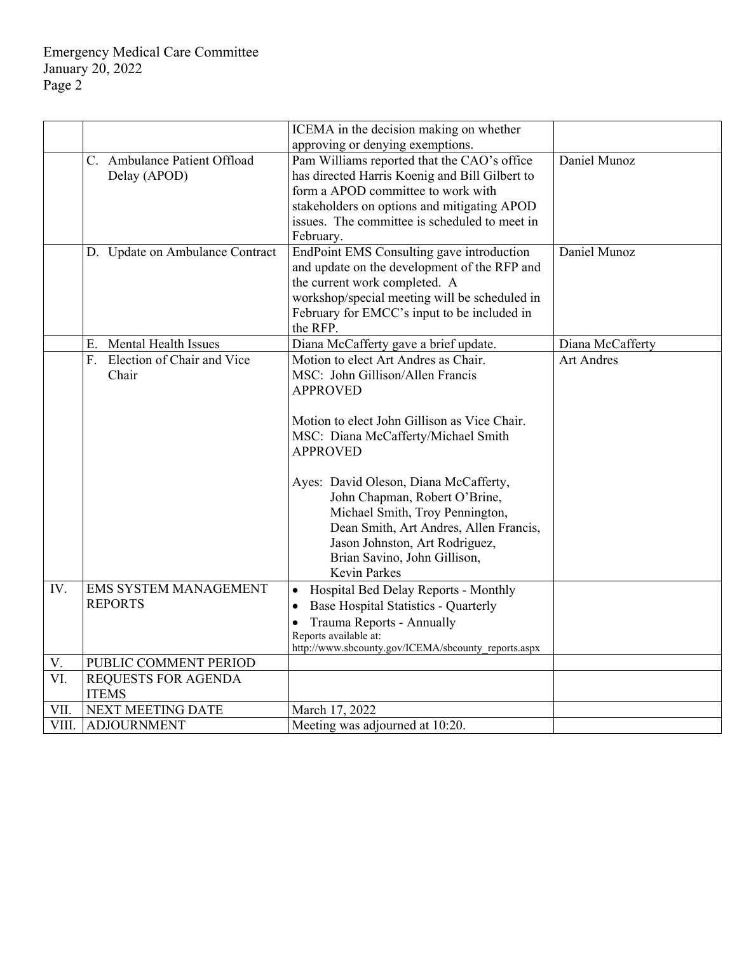|       |                                   | ICEMA in the decision making on whether             |                   |
|-------|-----------------------------------|-----------------------------------------------------|-------------------|
|       |                                   | approving or denying exemptions.                    |                   |
|       | C. Ambulance Patient Offload      | Pam Williams reported that the CAO's office         | Daniel Munoz      |
|       | Delay (APOD)                      | has directed Harris Koenig and Bill Gilbert to      |                   |
|       |                                   | form a APOD committee to work with                  |                   |
|       |                                   | stakeholders on options and mitigating APOD         |                   |
|       |                                   | issues. The committee is scheduled to meet in       |                   |
|       |                                   | February.                                           |                   |
|       | D. Update on Ambulance Contract   | EndPoint EMS Consulting gave introduction           | Daniel Munoz      |
|       |                                   | and update on the development of the RFP and        |                   |
|       |                                   | the current work completed. A                       |                   |
|       |                                   | workshop/special meeting will be scheduled in       |                   |
|       |                                   | February for EMCC's input to be included in         |                   |
|       |                                   | the RFP.                                            |                   |
|       | <b>Mental Health Issues</b><br>Е. | Diana McCafferty gave a brief update.               | Diana McCafferty  |
|       | Election of Chair and Vice<br>F.  | Motion to elect Art Andres as Chair.                | <b>Art Andres</b> |
|       | Chair                             | MSC: John Gillison/Allen Francis                    |                   |
|       |                                   | <b>APPROVED</b>                                     |                   |
|       |                                   |                                                     |                   |
|       |                                   | Motion to elect John Gillison as Vice Chair.        |                   |
|       |                                   | MSC: Diana McCafferty/Michael Smith                 |                   |
|       |                                   | <b>APPROVED</b>                                     |                   |
|       |                                   |                                                     |                   |
|       |                                   | Ayes: David Oleson, Diana McCafferty,               |                   |
|       |                                   | John Chapman, Robert O'Brine,                       |                   |
|       |                                   | Michael Smith, Troy Pennington,                     |                   |
|       |                                   | Dean Smith, Art Andres, Allen Francis,              |                   |
|       |                                   | Jason Johnston, Art Rodriguez,                      |                   |
|       |                                   | Brian Savino, John Gillison,                        |                   |
|       |                                   | Kevin Parkes                                        |                   |
| IV.   | EMS SYSTEM MANAGEMENT             | Hospital Bed Delay Reports - Monthly<br>$\bullet$   |                   |
|       | <b>REPORTS</b>                    | Base Hospital Statistics - Quarterly<br>$\bullet$   |                   |
|       |                                   | Trauma Reports - Annually<br>$\bullet$              |                   |
|       |                                   | Reports available at:                               |                   |
|       |                                   | http://www.sbcounty.gov/ICEMA/sbcounty reports.aspx |                   |
| V.    | PUBLIC COMMENT PERIOD             |                                                     |                   |
| VI.   | REQUESTS FOR AGENDA               |                                                     |                   |
|       | <b>ITEMS</b>                      |                                                     |                   |
| VII.  | NEXT MEETING DATE                 | March 17, 2022                                      |                   |
| VIII. | <b>ADJOURNMENT</b>                | Meeting was adjourned at 10:20.                     |                   |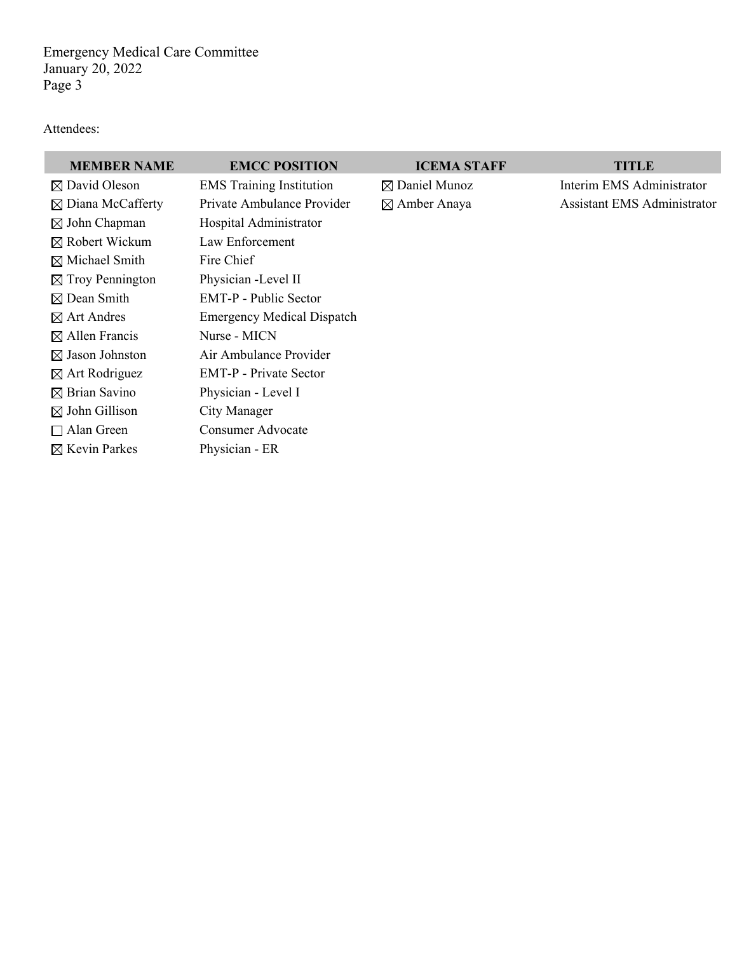Emergency Medical Care Committee January 20, 2022 Page 3

#### Attendees:

## **MEMBER NAME EMCC POSITION ICEMA STAFF TITLE**

 Robert Wickum Law Enforcement  $\boxtimes$  Michael Smith Fire Chief  $\boxtimes$  Troy Pennington Physician -Level II  $\boxtimes$  Allen Francis Nurse - MICN  $\boxtimes$  Brian Savino Physician - Level I  $\boxtimes$  John Gillison City Manager □ Alan Green Consumer Advocate  $\boxtimes$  Kevin Parkes Physician - ER

 $\boxtimes$  David Oleson EMS Training Institution  $\boxtimes$  Daniel Munoz Interim EMS Administrator  $\boxtimes$  Diana McCafferty Private Ambulance Provider  $\boxtimes$  Amber Anaya Assistant EMS Administrator  $\boxtimes$  John Chapman Hospital Administrator Dean Smith EMT-P - Public Sector Art Andres Emergency Medical Dispatch  $\boxtimes$  Jason Johnston Air Ambulance Provider Art Rodriguez EMT-P - Private Sector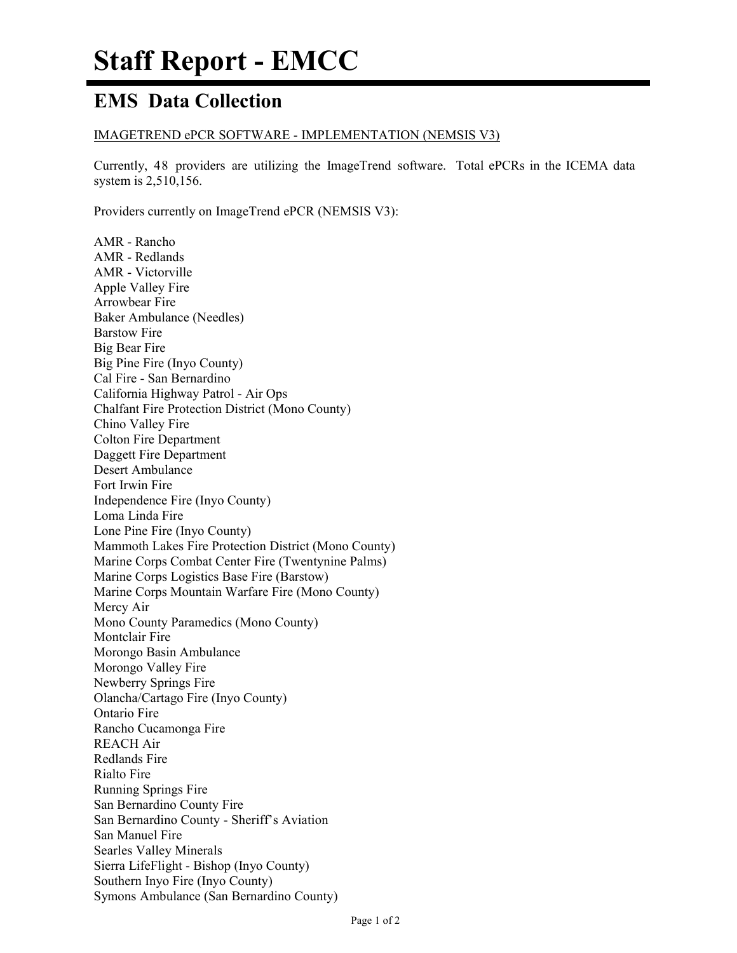# **EMS Data Collection**

### IMAGETREND ePCR SOFTWARE - IMPLEMENTATION (NEMSIS V3)

Currently, 48 providers are utilizing the ImageTrend software. Total ePCRs in the ICEMA data system is 2,510,156.

Providers currently on ImageTrend ePCR (NEMSIS V3):

AMR - Rancho AMR - Redlands AMR - Victorville Apple Valley Fire Arrowbear Fire Baker Ambulance (Needles) Barstow Fire Big Bear Fire Big Pine Fire (Inyo County) Cal Fire - San Bernardino California Highway Patrol - Air Ops Chalfant Fire Protection District (Mono County) Chino Valley Fire Colton Fire Department Daggett Fire Department Desert Ambulance Fort Irwin Fire Independence Fire (Inyo County) Loma Linda Fire Lone Pine Fire (Inyo County) Mammoth Lakes Fire Protection District (Mono County) Marine Corps Combat Center Fire (Twentynine Palms) Marine Corps Logistics Base Fire (Barstow) Marine Corps Mountain Warfare Fire (Mono County) Mercy Air Mono County Paramedics (Mono County) Montclair Fire Morongo Basin Ambulance Morongo Valley Fire Newberry Springs Fire Olancha/Cartago Fire (Inyo County) Ontario Fire Rancho Cucamonga Fire REACH Air Redlands Fire Rialto Fire Running Springs Fire San Bernardino County Fire San Bernardino County - Sheriff's Aviation San Manuel Fire Searles Valley Minerals Sierra LifeFlight - Bishop (Inyo County) Southern Inyo Fire (Inyo County) Symons Ambulance (San Bernardino County)